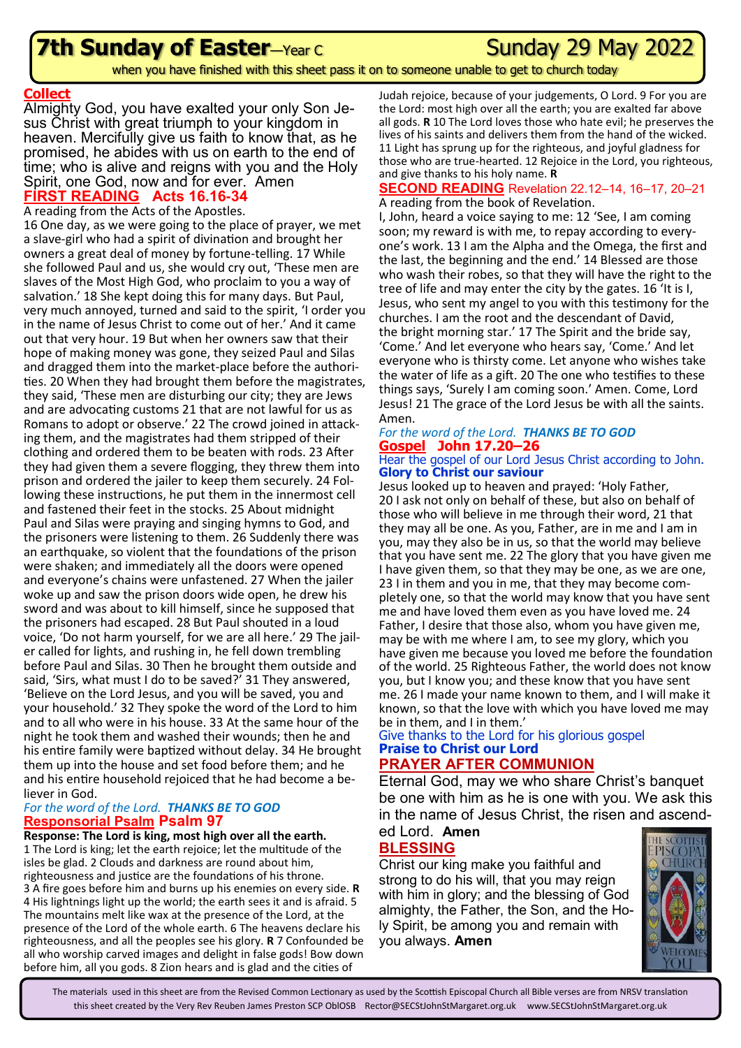## **7th Sunday of Easter**—Year C **Consumer Sunday 29 May 2022**

when you have finished with this sheet pass it on to someone unable to get to church today

### **Collect**

Almighty God, you have exalted your only Son Jesus Christ with great triumph to your kingdom in heaven. Mercifully give us faith to know that, as he promised, he abides with us on earth to the end of time; who is alive and reigns with you and the Holy Spirit, one God, now and for ever. Amen **FIRST READING Acts 16.16-34**

### A reading from the Acts of the Apostles.

16 One day, as we were going to the place of prayer, we met a slave-girl who had a spirit of divination and brought her owners a great deal of money by fortune-telling. 17 While she followed Paul and us, she would cry out, 'These men are slaves of the Most High God, who proclaim to you a way of salvation.' 18 She kept doing this for many days. But Paul, very much annoyed, turned and said to the spirit, 'I order you in the name of Jesus Christ to come out of her.' And it came out that very hour. 19 But when her owners saw that their hope of making money was gone, they seized Paul and Silas and dragged them into the market-place before the authorities. 20 When they had brought them before the magistrates, they said, 'These men are disturbing our city; they are Jews and are advocating customs 21 that are not lawful for us as Romans to adopt or observe.' 22 The crowd joined in attacking them, and the magistrates had them stripped of their clothing and ordered them to be beaten with rods. 23 After they had given them a severe flogging, they threw them into prison and ordered the jailer to keep them securely. 24 Following these instructions, he put them in the innermost cell and fastened their feet in the stocks. 25 About midnight Paul and Silas were praying and singing hymns to God, and the prisoners were listening to them. 26 Suddenly there was an earthquake, so violent that the foundations of the prison were shaken; and immediately all the doors were opened and everyone's chains were unfastened. 27 When the jailer woke up and saw the prison doors wide open, he drew his sword and was about to kill himself, since he supposed that the prisoners had escaped. 28 But Paul shouted in a loud voice, 'Do not harm yourself, for we are all here.' 29 The jailer called for lights, and rushing in, he fell down trembling before Paul and Silas. 30 Then he brought them outside and said, 'Sirs, what must I do to be saved?' 31 They answered, 'Believe on the Lord Jesus, and you will be saved, you and your household.' 32 They spoke the word of the Lord to him and to all who were in his house. 33 At the same hour of the night he took them and washed their wounds; then he and his entire family were baptized without delay. 34 He brought them up into the house and set food before them; and he and his entire household rejoiced that he had become a believer in God.

### *For the word of the Lord. THANKS BE TO GOD* **Responsorial Psalm Psalm 97**

**Response: The Lord is king, most high over all the earth.** 1 The Lord is king; let the earth rejoice; let the multitude of the isles be glad. 2 Clouds and darkness are round about him, righteousness and justice are the foundations of his throne. 3 A fire goes before him and burns up his enemies on every side. **R**  4 His lightnings light up the world; the earth sees it and is afraid. 5 The mountains melt like wax at the presence of the Lord, at the presence of the Lord of the whole earth. 6 The heavens declare his righteousness, and all the peoples see his glory. **R** 7 Confounded be all who worship carved images and delight in false gods! Bow down before him, all you gods. 8 Zion hears and is glad and the cities of

Judah rejoice, because of your judgements, O Lord. 9 For you are the Lord: most high over all the earth; you are exalted far above all gods. **R** 10 The Lord loves those who hate evil; he preserves the lives of his saints and delivers them from the hand of the wicked. 11 Light has sprung up for the righteous, and joyful gladness for those who are true-hearted. 12 Rejoice in the Lord, you righteous, and give thanks to his holy name. **R** 

#### **SECOND READING** Revelation 22.12–14, 16–17, 20–21 A reading from the book of Revelation.

I, John, heard a voice saying to me: 12 'See, I am coming soon; my reward is with me, to repay according to everyone's work. 13 I am the Alpha and the Omega, the first and the last, the beginning and the end.' 14 Blessed are those who wash their robes, so that they will have the right to the tree of life and may enter the city by the gates. 16 'It is I, Jesus, who sent my angel to you with this testimony for the churches. I am the root and the descendant of David, the bright morning star.' 17 The Spirit and the bride say, 'Come.' And let everyone who hears say, 'Come.' And let everyone who is thirsty come. Let anyone who wishes take the water of life as a gift. 20 The one who testifies to these things says, 'Surely I am coming soon.' Amen. Come, Lord Jesus! 21 The grace of the Lord Jesus be with all the saints. Amen.

### *For the word of the Lord. THANKS BE TO GOD* **Gospel John 17.20–26**

#### Hear the gospel of our Lord Jesus Christ according to John. **Glory to Christ our saviour**

Jesus looked up to heaven and prayed: 'Holy Father, 20 I ask not only on behalf of these, but also on behalf of those who will believe in me through their word, 21 that they may all be one. As you, Father, are in me and I am in you, may they also be in us, so that the world may believe that you have sent me. 22 The glory that you have given me I have given them, so that they may be one, as we are one, 23 I in them and you in me, that they may become completely one, so that the world may know that you have sent me and have loved them even as you have loved me. 24 Father, I desire that those also, whom you have given me, may be with me where I am, to see my glory, which you have given me because you loved me before the foundation of the world. 25 Righteous Father, the world does not know you, but I know you; and these know that you have sent me. 26 I made your name known to them, and I will make it known, so that the love with which you have loved me may be in them, and I in them.'

#### Give thanks to the Lord for his glorious gospel **Praise to Christ our Lord PRAYER AFTER COMMUNION**

Eternal God, may we who share Christ's banquet be one with him as he is one with you. We ask this in the name of Jesus Christ, the risen and ascend-

#### ed Lord. **Amen BLESSING**

Christ our king make you faithful and strong to do his will, that you may reign with him in glory; and the blessing of God almighty, the Father, the Son, and the Holy Spirit, be among you and remain with you always. **Amen**



The materials used in this sheet are from the Revised Common Lectionary as used by the Scottish Episcopal Church all Bible verses are from NRSV translation this sheet created by the Very Rev Reuben James Preston SCP OblOSB Rector@SECStJohnStMargaret.org.uk www.SECStJohnStMargaret.org.uk